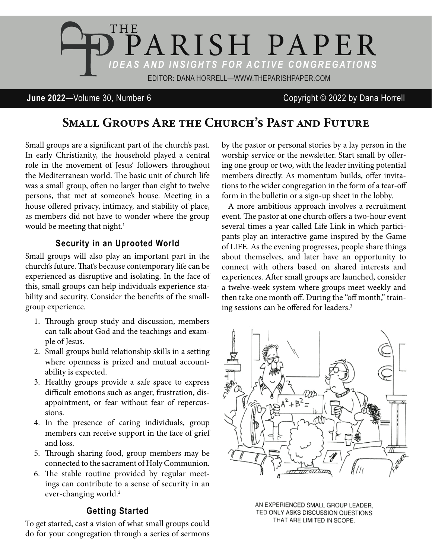

### **June 2022**—Volume 30, Number 6 Copyright © 2022 by Dana Horrell

# SMALL GROUPS ARE THE CHURCH'S PAST AND FUTURE

Small groups are a significant part of the church's past. In early Christianity, the household played a central role in the movement of Jesus' followers throughout the Mediterranean world. The basic unit of church life was a small group, often no larger than eight to twelve persons, that met at someone's house. Meeting in a house offered privacy, intimacy, and stability of place, as members did not have to wonder where the group would be meeting that night.<sup>1</sup>

### **Security in an Uprooted World**

Small groups will also play an important part in the church's future. That's because contemporary life can be experienced as disruptive and isolating. In the face of this, small groups can help individuals experience stability and security. Consider the benefits of the smallgroup experience.

- 1. Through group study and discussion, members can talk about God and the teachings and example of Jesus.
- 2. Small groups build relationship skills in a setting where openness is prized and mutual accountability is expected.
- 3. Healthy groups provide a safe space to express difficult emotions such as anger, frustration, disappointment, or fear without fear of repercussions.
- 4. In the presence of caring individuals, group members can receive support in the face of grief and loss.
- 5. Through sharing food, group members may be connected to the sacrament of Holy Communion.
- 6. The stable routine provided by regular meetings can contribute to a sense of security in an ever-changing world.<sup>2</sup>

#### **Getting Started**

To get started, cast a vision of what small groups could do for your congregation through a series of sermons

by the pastor or personal stories by a lay person in the worship service or the newsletter. Start small by offering one group or two, with the leader inviting potential members directly. As momentum builds, offer invitations to the wider congregation in the form of a tear-off form in the bulletin or a sign-up sheet in the lobby.

A more ambitious approach involves a recruitment event. The pastor at one church offers a two-hour event several times a year called Life Link in which participants play an interactive game inspired by the Game of LIFE. As the evening progresses, people share things about themselves, and later have an opportunity to connect with others based on shared interests and experiences. After small groups are launched, consider a twelve-week system where groups meet weekly and then take one month off. During the "off month," training sessions can be offered for leaders.<sup>3</sup>



AN EXPERIENCED SMALL GROUP LEADER. TED ONLY ASKS DISCUSSION QUESTIONS THAT ARE LIMITED IN SCOPE.